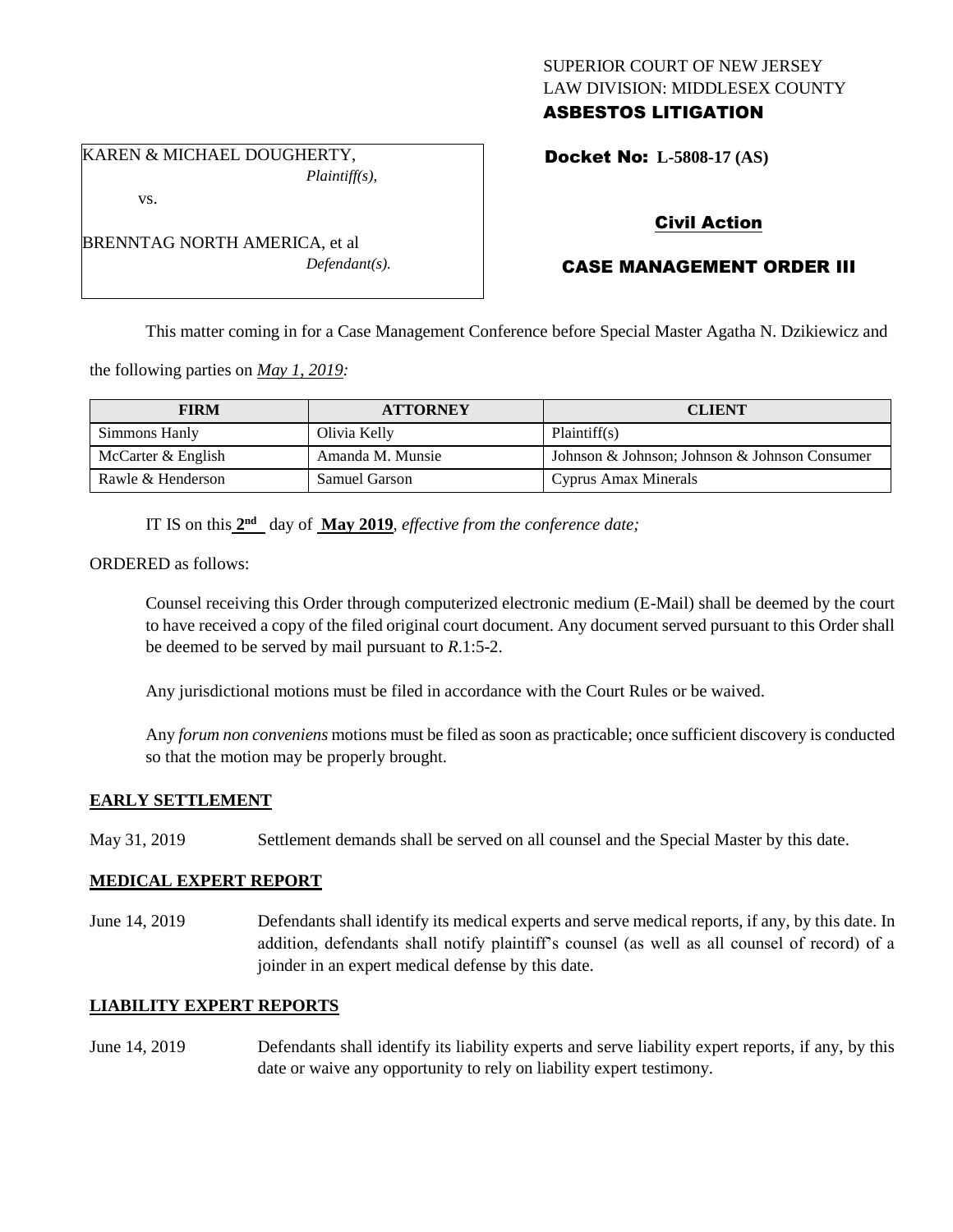## SUPERIOR COURT OF NEW JERSEY LAW DIVISION: MIDDLESEX COUNTY ASBESTOS LITIGATION

Docket No: **L-5808-17 (AS)** 

vs.

BRENNTAG NORTH AMERICA, et al *Defendant(s).*

*Plaintiff(s),*

KAREN & MICHAEL DOUGHERTY,

# Civil Action

# CASE MANAGEMENT ORDER III

This matter coming in for a Case Management Conference before Special Master Agatha N. Dzikiewicz and

the following parties on *May 1, 2019:*

| <b>FIRM</b>        | <b>ATTORNEY</b>      | <b>CLIENT</b>                                 |
|--------------------|----------------------|-----------------------------------------------|
| Simmons Hanly      | Olivia Kelly         | Plaintiff(s)                                  |
| McCarter & English | Amanda M. Munsie     | Johnson & Johnson; Johnson & Johnson Consumer |
| Rawle & Henderson  | <b>Samuel Garson</b> | Cyprus Amax Minerals                          |

IT IS on this  $2<sup>nd</sup>$  day of **May 2019**, *effective from the conference date*;

ORDERED as follows:

Counsel receiving this Order through computerized electronic medium (E-Mail) shall be deemed by the court to have received a copy of the filed original court document. Any document served pursuant to this Order shall be deemed to be served by mail pursuant to *R*.1:5-2.

Any jurisdictional motions must be filed in accordance with the Court Rules or be waived.

Any *forum non conveniens* motions must be filed as soon as practicable; once sufficient discovery is conducted so that the motion may be properly brought.

## **EARLY SETTLEMENT**

May 31, 2019 Settlement demands shall be served on all counsel and the Special Master by this date.

## **MEDICAL EXPERT REPORT**

June 14, 2019 Defendants shall identify its medical experts and serve medical reports, if any, by this date. In addition, defendants shall notify plaintiff's counsel (as well as all counsel of record) of a joinder in an expert medical defense by this date.

## **LIABILITY EXPERT REPORTS**

June 14, 2019 Defendants shall identify its liability experts and serve liability expert reports, if any, by this date or waive any opportunity to rely on liability expert testimony.